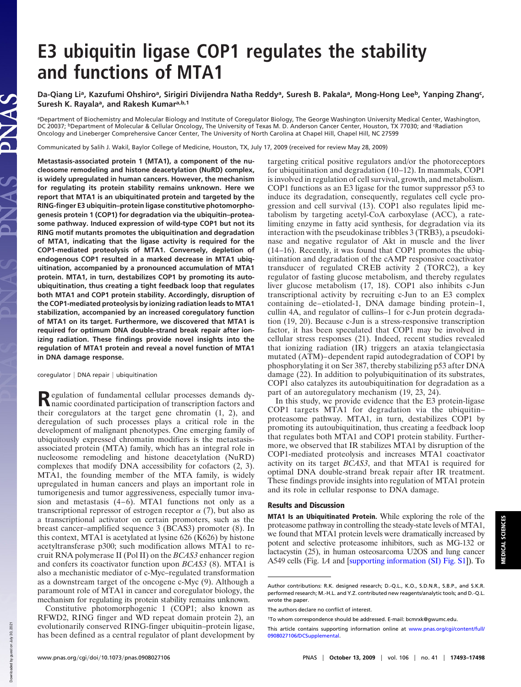## **E3 ubiquitin ligase COP1 regulates the stability and functions of MTA1**

**Da-Qiang Li<sup>a</sup> , Kazufumi Ohshiro<sup>a</sup> , Sirigiri Divijendra Natha Reddy<sup>a</sup> , Suresh B. Pakala<sup>a</sup> , Mong-Hong Lee<sup>b</sup> , Yanping Zhang<sup>c</sup> , Suresh K. Rayala<sup>a</sup> , and Rakesh Kumara,b,1**

ªDepartment of Biochemistry and Molecular Biology and Institute of Coregulator Biology, The George Washington University Medical Center, Washington,<br>DC 20037; <sup>b</sup>Department of Molecular & Cellular Oncology, The University Oncology and Lineberger Comprehensive Cancer Center, The University of North Carolina at Chapel Hill, Chapel Hill, NC 27599

Communicated by Salih J. Wakil, Baylor College of Medicine, Houston, TX, July 17, 2009 (received for review May 28, 2009)

**Metastasis-associated protein 1 (MTA1), a component of the nucleosome remodeling and histone deacetylation (NuRD) complex, is widely upregulated in human cancers. However, the mechanism for regulating its protein stability remains unknown. Here we report that MTA1 is an ubiquitinated protein and targeted by the RING-finger E3 ubiquitin–protein ligase constitutive photomorphogenesis protein 1 (COP1) for degradation via the ubiquitin–proteasome pathway. Induced expression of wild-type COP1 but not its RING motif mutants promotes the ubiquitination and degradation of MTA1, indicating that the ligase activity is required for the COP1-mediated proteolysis of MTA1. Conversely, depletion of endogenous COP1 resulted in a marked decrease in MTA1 ubiquitination, accompanied by a pronounced accumulation of MTA1 protein. MTA1, in turn, destabilizes COP1 by promoting its autoubiquitination, thus creating a tight feedback loop that regulates both MTA1 and COP1 protein stability. Accordingly, disruption of the COP1-mediated proteolysis by ionizing radiation leads to MTA1 stabilization, accompanied by an increased coregulatory function of MTA1 on its target. Furthermore, we discovered that MTA1 is required for optimum DNA double-strand break repair after ionizing radiation. These findings provide novel insights into the regulation of MTA1 protein and reveal a novel function of MTA1 in DNA damage response.**

coregulator | DNA repair | ubiquitination

Regulation of fundamental cellular processes demands dy-<br>
namic coordinated participation of transcription factors and namic coordinated participation of transcription factors and their coregulators at the target gene chromatin (1, 2), and deregulation of such processes plays a critical role in the development of malignant phenotypes. One emerging family of ubiquitously expressed chromatin modifiers is the metastasisassociated protein (MTA) family, which has an integral role in nucleosome remodeling and histone deacetylation (NuRD) complexes that modify DNA accessibility for cofactors (2, 3). MTA1, the founding member of the MTA family, is widely upregulated in human cancers and plays an important role in tumorigenesis and tumor aggressiveness, especially tumor invasion and metastasis (4–6). MTA1 functions not only as a transcriptional repressor of estrogen receptor  $\alpha$  (7), but also as a transcriptional activator on certain promoters, such as the breast cancer–amplified sequence 3 (BCAS3) promoter (8). In this context, MTA1 is acetylated at lysine 626 (K626) by histone acetyltransferase p300; such modification allows MTA1 to recruit RNA polymerase II (Pol II) on the *BCAS3* enhancer region and confers its coactivator function upon *BCAS3* (8). MTA1 is also a mechanistic mediator of c-Myc–regulated transformation as a downstream target of the oncogene c-Myc (9). Although a paramount role of MTA1 in cancer and coregulator biology, the mechanism for regulating its protein stability remains unknown.

Constitutive photomorphogenic 1 (COP1; also known as RFWD2, RING finger and WD repeat domain protein 2), an evolutionarily conserved RING-finger ubiquitin–protein ligase, has been defined as a central regulator of plant development by targeting critical positive regulators and/or the photoreceptors for ubiquitination and degradation (10–12). In mammals, COP1 is involved in regulation of cell survival, growth, and metabolism. COP1 functions as an E3 ligase for the tumor suppressor p53 to induce its degradation, consequently, regulates cell cycle progression and cell survival (13). COP1 also regulates lipid metabolism by targeting acetyl-CoA carboxylase (ACC), a ratelimiting enzyme in fatty acid synthesis, for degradation via its interaction with the pseudokinase tribbles 3 (TRB3), a pseudokinase and negative regulator of Akt in muscle and the liver (14–16). Recently, it was found that COP1 promotes the ubiquitination and degradation of the cAMP responsive coactivator transducer of regulated CREB activity  $2$  (TORC2), a key regulator of fasting glucose metabolism, and thereby regulates liver glucose metabolism (17, 18). COP1 also inhibits c-Jun transcriptional activity by recruiting c-Jun to an E3 complex containing de–etiolated-1, DNA damage binding protein–1, cullin 4A, and regulator of cullins–1 for c-Jun protein degradation (19, 20). Because c-Jun is a stress-responsive transcription factor, it has been speculated that COP1 may be involved in cellular stress responses (21). Indeed, recent studies revealed that ionizing radiation (IR) triggers an ataxia telangiectasia mutated (ATM)–dependent rapid autodegradation of COP1 by phosphorylating it on Ser 387, thereby stabilizing p53 after DNA damage (22). In addition to polyubiquitination of its substrates, COP1 also catalyzes its autoubiquitination for degradation as a part of an autoregulatory mechanism (19, 23, 24).

In this study, we provide evidence that the E3 protein-ligase COP1 targets MTA1 for degradation via the ubiquitin– proteasome pathway. MTA1, in turn, destabilizes COP1 by promoting its autoubiquitination, thus creating a feedback loop that regulates both MTA1 and COP1 protein stability. Furthermore, we observed that IR stabilizes MTA1 by disruption of the COP1-mediated proteolysis and increases MTA1 coactivator activity on its target *BCAS3*, and that MTA1 is required for optimal DNA double-strand break repair after IR treatment. These findings provide insights into regulation of MTA1 protein and its role in cellular response to DNA damage.

## Results and Discussion

MTA1 Is an Ubiquitinated Protein. While exploring the role of the proteasome pathway in controlling the steady-state levels of MTA1, we found that MTA1 protein levels were dramatically increased by potent and selective proteasome inhibitors, such as MG-132 or lactacystin (25), in human osteosarcoma U2OS and lung cancer A549 cells (Fig. 1*A* and [supporting information (SI) Fig. S1]). To

Author contributions: R.K. designed research; D.-Q.L., K.O., S.D.N.R., S.B.P., and S.K.R. performed research; M.-H.L. and Y.Z. contributed new reagents/analytic tools; and D.-Q.L. wrote the paper.

The authors declare no conflict of interest.

<sup>1</sup>To whom correspondence should be addressed. E-mail: bcmrxk@gwumc.edu.

This article contains supporting information online at www.pnas.org/cgi/content/full/ 0908027106/DCSupplemental.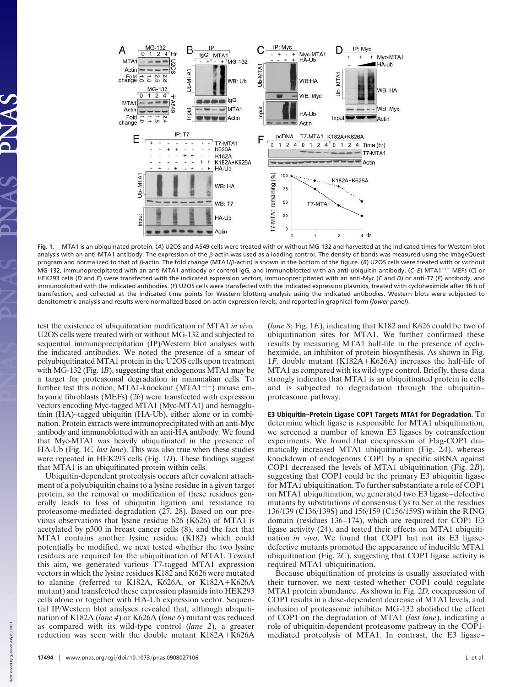

**Fig. 1.** MTA1 is an ubiquinated protein. (*A*) U2OS and A549 cells were treated with or without MG-132 and harvested at the indicated times for Western blot analysis with an anti-MTA1 antibody. The expression of the  $\beta$ -actin was used as a loading control. The density of bands was measured using the imageQuest program and normalized to that of  $\beta$ -actin. The fold change (MTA1/ $\beta$ -actin) is shown in the bottom of the figure. (*B*) U2OS cells were treated with or without MG-132, immunoprecipitated with an anti-MTA1 antibody or control IgG, and immunoblotted with an anti-ubiquitin antibody. (C–E) MTA1<sup>-/-</sup> MEFs (C) or HEK293 cells (*D* and *E*) were transfected with the indicated expression vectors, immunoprecipitated with an anti-Myc (*C* and *D*) or anti-T7 (*E*) antibody, and immunoblotted with the indicated antibodies. (*F*) U2OS cells were transfected with the indicated expression plasmids, treated with cycloheximide after 36 h of transfection, and collected at the indicated time points for Western blotting analysis using the indicated antibodies. Western blots were subjected to densitometric analysis and results were normalized based on actin expression levels, and reported in graphical form (*lower panel*).

test the existence of ubiquitination modification of MTA1 *in vivo,* U2OS cells were treated with or without MG-132 and subjected to sequential immunoprecipitation (IP)/Western blot analyses with the indicated antibodies. We noted the presence of a smear of polyubiquitinated MTA1 protein in the U2OS cells upon treatment with MG-132 (Fig. 1*B*), suggesting that endogenous MTA1 may be a target for proteasomal degradation in mammalian cells. To further test this notion, MTA1-knockout (MTA1<sup>-/-</sup>) mouse embryonic fibroblasts (MEFs) (26) were transfected with expression vectors encoding Myc-tagged MTA1 (Myc-MTA1) and hemagglutinin (HA)–tagged ubiquitin (HA-Ub), either alone or in combination. Protein extracts were immunoprecipitated with an anti-Myc antibody and immunoblotted with an anti-HA antibody. We found that Myc-MTA1 was heavily ubiquitinated in the presence of HA-Ub (Fig. 1*C, last lane*). This was also true when these studies were repeated in HEK293 cells (Fig. 1*D*). These findings suggest that MTA1 is an ubiquitinated protein within cells.

Ubiquitin-dependent proteolysis occurs after covalent attachment of a polyubiquitin chains to a lysine residue in a given target protein, so the removal or modification of these residues generally leads to loss of ubiquitin ligation and resistance to proteasome-mediated degradation (27, 28). Based on our previous observations that lysine residue 626 (K626) of MTA1 is acetylated by p300 in breast cancer cells (8), and the fact that MTA1 contains another lysine residue (K182) which could potentially be modified, we next tested whether the two lysine residues are required for the ubiquitination of MTA1. Toward this aim, we generated various T7-tagged MTA1 expression vectors in which the lysine residues K182 and K626 were mutated to alanine (referred to K182A, K626A, or K182A-K626A mutant) and transfected these expression plasmids into HEK293 cells alone or together with HA-Ub expression vector. Sequential IP/Western blot analyses revealed that, although ubiquitination of K182A (*lane 4*) or K626A (*lane 6*) mutant was reduced as compared with its wild-type control (*lane 2*), a greater reduction was seen with the double mutant K182A+K626A

(*lane 8*; Fig. 1*E*), indicating that K182 and K626 could be two of ubiquitination sites for MTA1. We further confirmed these results by measuring MTA1 half-life in the presence of cycloheximide, an inhibitor of protein biosynthesis. As shown in Fig. 1*F,* double mutant (K182A-K626A) increases the half-life of MTA1 as compared with its wild-type control. Briefly, these data strongly indicates that MTA1 is an ubiquitinated protein in cells and is subjected to degradation through the ubiquitin– proteasome pathway.

E3 Ubiquitin–Protein Ligase COP1 Targets MTA1 for Degradation. To determine which ligase is responsible for MTA1 ubiquitination, we screened a number of known E3 ligases by cotransfection experiments. We found that coexpression of Flag-COP1 dramatically increased MTA1 ubiquitination (Fig. 2*A*), whereas knockdown of endogenous COP1 by a specific siRNA against COP1 decreased the levels of MTA1 ubiquitination (Fig. 2*B*), suggesting that COP1 could be the primary E3 ubiquitin ligase for MTA1 ubiquitination. To further substantiate a role of COP1 on MTA1 ubiquitination, we generated two E3 ligase–defective mutants by substitutions of consensus Cys to Ser at the residues 136/139 (C136/139S) and 156/159 (C156/159S) within the RING domain (residues 136–174), which are required for COP1 E3 ligase activity (24), and tested their effects on MTA1 ubiquitination *in vivo*. We found that COP1 but not its E3 ligasedefective mutants promoted the appearance of inducible MTA1 ubiquitination (Fig. 2*C*), suggesting that COP1 ligase activity is required MTA1 ubiquitination.

Because ubiquitination of proteins is usually associated with their turnover, we next tested whether COP1 could regulate MTA1 protein abundance. As shown in Fig. 2*D,* coexpression of COP1 results in a dose-dependent decrease of MTA1 levels, and inclusion of proteasome inhibitor MG-132 abolished the effect of COP1 on the degradation of MTA1 (*last lane*), indicating a role of ubiquitin-dependent proteasome pathway in the COP1 mediated proteolysis of MTA1. In contrast, the E3 ligase–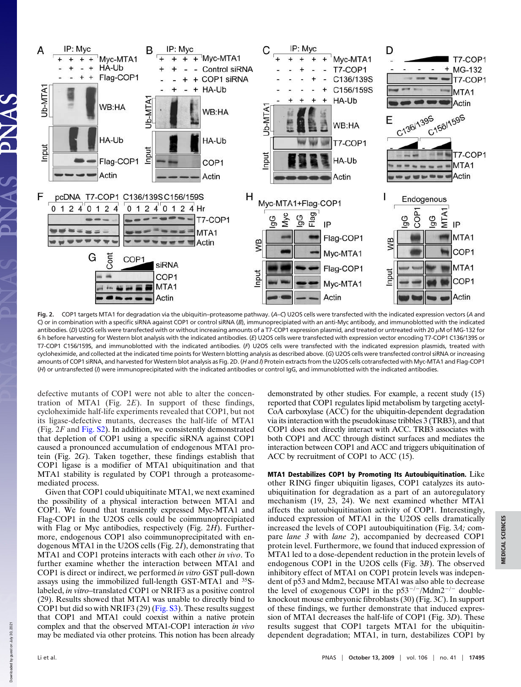

**Fig. 2.** COP1 targets MTA1 for degradation via the ubiquitin–proteasome pathway. (*A–C*) U2OS cells were transfected with the indicated expression vectors (*A* and C) or in combination with a specific siRNA against COP1 or control siRNA (*B*), immunoprecipiated with an anti-Myc antibody, and immunoblotted with the indicated antibodies. (D) U2OS cells were transfected with or without increasing amounts of a T7-COP1 expression plasmid, and treated or untreated with 20  $\mu$ M of MG-132 for 6 h before harvesting for Western blot analysis with the indicated antibodies. (*E*) U2OS cells were transfected with expression vector encoding T7-COP1 C136/139S or T7-COP1 C156/159S, and immunoblotted with the indicated antibodies. (*F*) U2OS cells were transfected with the indicated expression plasmids, treated with cycloheximide, and collected at the indicated time points for Western blotting analysis as described above. (*G*) U2OS cells were transfected control siRNA or increasing amounts of COP1 siRNA, and harvested for Western blot analysis as Fig. 2D. (*H* and *I*) Protein extracts from the U2OS cells cotransfected with Myc-MTA1 and Flag-COP1 (*H*) or untransfected (*I*) were immunoprecipitated with the indicated antibodies or control IgG, and immunoblotted with the indicated antibodies.

defective mutants of COP1 were not able to alter the concentration of MTA1 (Fig. 2*E*). In support of these findings, cycloheximide half-life experiments revealed that COP1, but not its ligase-defective mutants, decreases the half-life of MTA1 (Fig. 2*F* and Fig. S2). In addition, we consistently demonstrated that depletion of COP1 using a specific siRNA against COP1 caused a pronounced accumulation of endogenous MTA1 protein (Fig. 2*G*). Taken together, these findings establish that COP1 ligase is a modifier of MTA1 ubiquitination and that MTA1 stability is regulated by COP1 through a proteasomemediated process.

Given that COP1 could ubiquitinate MTA1, we next examined the possibility of a physical interaction between MTA1 and COP1. We found that transiently expressed Myc-MTA1 and Flag-COP1 in the U2OS cells could be coimmunoprecipiated with Flag or Myc antibodies, respectively (Fig. 2*H*). Furthermore, endogenous COP1 also coimmunoprecipitated with endogenous MTA1 in the U2OS cells (Fig. 2*I*), demonstrating that MTA1 and COP1 proteins interacts with each other *in vivo*. To further examine whether the interaction between MTA1 and COP1 is direct or indirect, we performed *in vitro* GST pull-down assays using the immobilized full-length GST-MTA1 and <sup>35</sup>Slabeled, *in vitro*–translated COP1 or NRIF3 as a positive control (29). Results showed that MTA1 was unable to directly bind to COP1 but did so with NRIF3 (29) (Fig. S3). These results suggest that COP1 and MTA1 could coexist within a native protein complex and that the observed MTA1-COP1 interaction *in vivo* may be mediated via other proteins. This notion has been already demonstrated by other studies. For example, a recent study (15) reported that COP1 regulates lipid metabolism by targeting acetyl-CoA carboxylase (ACC) for the ubiquitin-dependent degradation via its interaction with the pseudokinase tribbles 3 (TRB3), and that COP1 does not directly interact with ACC. TRB3 associates with both COP1 and ACC through distinct surfaces and mediates the interaction between COP1 and ACC and triggers ubiquitination of ACC by recruitment of COP1 to ACC (15).

MTA1 Destabilizes COP1 by Promoting Its Autoubiquitination. Like other RING finger ubiquitin ligases, COP1 catalyzes its autoubiquitination for degradation as a part of an autoregulatory mechanism (19, 23, 24). We next examined whether MTA1 affects the autoubiquitination activity of COP1. Interestingly, induced expression of MTA1 in the U2OS cells dramatically increased the levels of COP1 autoubiquitination (Fig. 3*A;* compare *lane 3* with *lane 2*), accompanied by decreased COP1 protein level. Furthermore, we found that induced expression of MTA1 led to a dose-dependent reduction in the protein levels of endogenous COP1 in the U2OS cells (Fig. 3*B*). The observed inhibitory effect of MTA1 on COP1 protein levels was independent of p53 and Mdm2, because MTA1 was also able to decrease the level of exogenous COP1 in the  $p53^{-/-}/Mdm2^{-/-}$  doubleknockout mouse embryonic fibroblasts (30) (Fig. 3*C*). In support of these findings, we further demonstrate that induced expression of MTA1 decreases the half-life of COP1 (Fig. 3*D*). These results suggest that COP1 targets MTA1 for the ubiquitindependent degradation; MTA1, in turn, destabilizes COP1 by

Down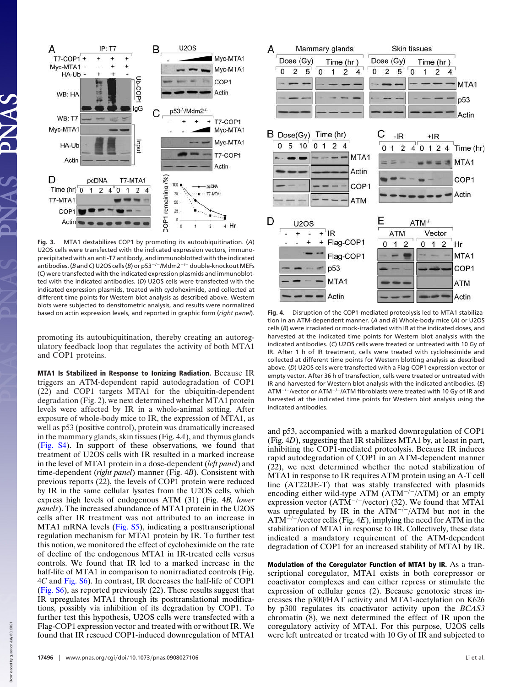

**Fig. 3.** MTA1 destabilizes COP1 by promoting its autoubiquitination. (*A*) U2OS cells were transfected with the indicated expression vectors, immunoprecipitated with an anti-T7 antibody, and immunoblotted with the indicated antibodies. (*B* and *C*) U2OS cells (*B*) or p53<sup>-/-</sup>/Mdm2<sup>-/-</sup> double-knockout MEFs (*C*) were transfected with the indicated expression plasmids and immunoblotted with the indicated antibodies. (*D*) U2OS cells were transfected with the indicated expression plasmids, treated with cycloheximide, and collected at different time points for Western blot analysis as described above. Western blots were subjected to densitometric analysis, and results were normalized based on actin expression levels, and reported in graphic form (*right panel*). **Fig. 4.** Disruption of the COP1-mediated proteolysis led to MTA1 stabiliza-

promoting its autoubiquitination, thereby creating an autoregulatory feedback loop that regulates the activity of both MTA1 and COP1 proteins.

MTA1 Is Stabilized in Response to Ionizing Radiation. Because IR triggers an ATM-dependent rapid autodegradation of COP1 (22) and COP1 targets MTA1 for the ubiquitin-dependent degradation (Fig. 2), we next determined whether MTA1 protein levels were affected by IR in a whole-animal setting. After exposure of whole-body mice to IR, the expression of MTA1, as well as p53 (positive control), protein was dramatically increased in the mammary glands, skin tissues (Fig. 4*A*), and thymus glands (Fig. S4). In support of these observations, we found that treatment of U2OS cells with IR resulted in a marked increase in the level of MTA1 protein in a dose-dependent (*left panel*) and time-dependent (*right panel*) manner (Fig. 4*B*). Consistent with previous reports (22), the levels of COP1 protein were reduced by IR in the same cellular lysates from the U2OS cells, which express high levels of endogenous ATM (31) (Fig. 4*B, lower panels*). The increased abundance of MTA1 protein in the U2OS cells after IR treatment was not attributed to an increase in MTA1 mRNA levels (Fig. S5), indicating a posttranscriptional regulation mechanism for MTA1 protein by IR. To further test this notion, we monitored the effect of cycloheximide on the rate of decline of the endogenous MTA1 in IR-treated cells versus controls. We found that IR led to a marked increase in the half-life of MTA1 in comparison to nonirradiated controls (Fig. 4*C* and Fig. S6). In contrast, IR decreases the half-life of COP1 (Fig. S6), as reported previously (22). These results suggest that IR upregulates MTA1 through its posttranslational modifications, possibly via inhibition of its degradation by COP1. To further test this hypothesis, U2OS cells were transfected with a Flag-COP1 expression vector and treated with or without IR. We found that IR rescued COP1-induced downregulation of MTA1



tion in an ATM-dependent manner. (*A* and *B*) Whole-body mice (*A*) or U2OS cells (*B*) were irradiated or mock-irradiated with IR at the indicated doses, and harvested at the indicated time points for Western blot analysis with the indicated antibodies. (*C*) U2OS cells were treated or untreated with 10 Gy of IR. After 1 h of IR treatment, cells were treated with cycloheximide and collected at different time points for Western blotting analysis as described above. (*D*) U2OS cells were transfected with a Flag-COP1 expression vector or empty vector. After 36 h of transfection, cells were treated or untreated with IR and harvested for Western blot analysis with the indicated antibodies. (*E*) ATM<sup>-/-</sup>/vector or ATM<sup>-/-</sup>/ATM fibroblasts were treated with 10 Gy of IR and harvested at the indicated time points for Western blot analysis using the indicated antibodies.

and p53, accompanied with a marked downregulation of COP1 (Fig. 4*D*), suggesting that IR stabilizes MTA1 by, at least in part, inhibiting the COP1-mediated proteolysis. Because IR induces rapid autodegradation of COP1 in an ATM-dependent manner (22), we next determined whether the noted stabilization of MTA1 in response to IR requires ATM protein using an A-T cell line (AT22IJE-T) that was stably transfected with plasmids encoding either wild-type ATM  $(ATM^{-/-}/ATM)$  or an empty expression vector (ATM<sup>-/-</sup>/vector) (32). We found that MTA1 was upregulated by IR in the  $\widehat{ATM}^{-/-}/ATM$  but not in the  $ATM^{-/-}$ /vector cells (Fig. 4*E*), implying the need for ATM in the stabilization of MTA1 in response to IR. Collectively, these data indicated a mandatory requirement of the ATM-dependent degradation of COP1 for an increased stability of MTA1 by IR.

Modulation of the Coregulator Function of MTA1 by IR. As a transcriptional coregulator, MTA1 exists in both corepressor or coactivator complexes and can either repress or stimulate the expression of cellular genes (2). Because genotoxic stress increases the p300/HAT activity and MTA1-acetylation on K626 by p300 regulates its coactivator activity upon the *BCAS3* chromatin (8), we next determined the effect of IR upon the coregulatory activity of MTA1. For this purpose, U2OS cells were left untreated or treated with 10 Gy of IR and subjected to

Down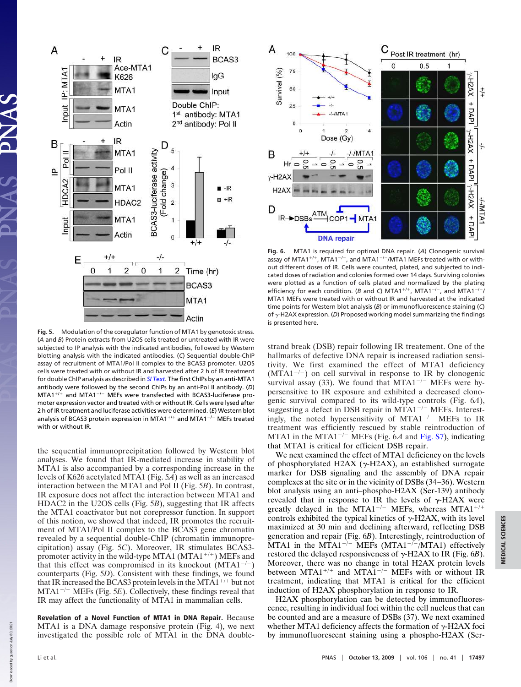

**Fig. 5.** Modulation of the coregulator function of MTA1 by genotoxic stress. (*A* and *B*) Protein extracts from U2OS cells treated or untreated with IR were subjected to IP analysis with the indicated antibodies, followed by Western blotting analysis with the indicated antibodies. (*C*) Sequential double-ChIP assay of recruitment of MTA1/Pol II complex to the BCAS3 promoter. U2OS cells were treated with or without IR and harvested after 2 h of IR treatment for double ChIP analysis as described in *SI Text*. The first ChIPs by an anti-MTA1 antibody were followed by the second ChIPs by an anti-Pol II antibody. (*D*)  $MTA1^{+/+}$  and MTA1<sup>-/-</sup> MEFs were transfected with BCAS3-luciferase promoter expression vector and treated with or without IR. Cells were lysed after 2 h of IR treatment and luciferase activities were determined. (*E*) Western blot analysis of BCAS3 protein expression in MTA1<sup>+/+</sup> and MTA1<sup>-/-</sup> MEFs treated with or without IR.

the sequential immunoprecipitation followed by Western blot analyses. We found that IR-mediated increase in stability of MTA1 is also accompanied by a corresponding increase in the levels of K626 acetylated MTA1 (Fig. 5*A*) as well as an increased interaction between the MTA1 and Pol II (Fig. 5*B*). In contrast, IR exposure does not affect the interaction between MTA1 and HDAC2 in the U2OS cells (Fig. 5*B*), suggesting that IR affects the MTA1 coactivator but not corepressor function. In support of this notion, we showed that indeed, IR promotes the recruitment of MTA1/Pol II complex to the BCAS3 gene chromatin revealed by a sequential double-ChIP (chromatin immunoprecipitation) assay (Fig. 5*C*). Moreover, IR stimulates BCAS3 promoter activity in the wild-type MTA1 (MTA1<sup>+/+</sup>) MEFs and that this effect was compromised in its knockout  $(MTA1^{-/-})$ counterparts (Fig. 5*D*). Consistent with these findings, we found that IR increased the BCAS3 protein levels in the MTA1<sup>+/+</sup> but not  $MTA1^{-/-}$  MEFs (Fig. 5*E*). Collectively, these findings reveal that IR may affect the functionality of MTA1 in mammalian cells.

Revelation of a Novel Function of MTA1 in DNA Repair. Because MTA1 is a DNA damage responsive protein (Fig. 4), we next investigated the possible role of MTA1 in the DNA double-



**Fig. 6.** MTA1 is required for optimal DNA repair. (*A*) Clonogenic survival assay of MTA1<sup>+/+</sup>, MTA1<sup>-/-</sup>, and MTA1<sup>-/-</sup>/MTA1 MEFs treated with or without different doses of IR. Cells were counted, plated, and subjected to indicated doses of radiation and colonies formed over 14 days. Surviving colonies were plotted as a function of cells plated and normalized by the plating efficiency for each condition. (*B* and *C*) MTA1<sup>+/+</sup>, MTA1<sup>-/-</sup>, and MTA1<sup>-/-</sup>/ MTA1 MEFs were treated with or without IR and harvested at the indicated time points for Western blot analysis (*B*) or immunofluorescence staining (*C*) of  $\gamma$ -H2AX expression. (*D*) Proposed working model summarizing the findings is presented here.

strand break (DSB) repair following IR treatement. One of the hallmarks of defective DNA repair is increased radiation sensitivity. We first examined the effect of MTA1 deficiency  $(MTA1^{-/-})$  on cell survival in response to IR by clonogenic survival assay (33). We found that  $MTA1^{-/-}$  MEFs were hypersensitive to IR exposure and exhibited a decreased clonogenic survival compared to its wild-type controls (Fig. 6*A*), suggesting a defect in DSB repair in MTA $1^{-/-}$  MEFs. Interestingly, the noted hypersensitivity of MTA1 $^{-/-}$  MEFs to IR treatment was efficiently rescued by stable reintroduction of MTA1 in the MTA1<sup>-/-</sup> MEFs (Fig. 6*A* and Fig. S7), indicating that MTA1 is critical for efficient DSB repair.

We next examined the effect of MTA1 deficiency on the levels of phosphorylated H2AX ( $\gamma$ -H2AX), an established surrogate marker for DSB signaling and the assembly of DNA repair complexes at the site or in the vicinity of DSBs (34–36). Western blot analysis using an anti–phospho-H2AX (Ser-139) antibody revealed that in response to IR the levels of  $\gamma$ -H2AX were greatly delayed in the MTA1<sup>-/-</sup> MEFs, whereas MTA1<sup>+/+</sup> controls exhibited the typical kinetics of  $\gamma$ -H2AX, with its level maximized at 30 min and declining afterward, reflecting DSB generation and repair (Fig. 6*B*). Interestingly, reintroduction of MTA1 in the MTA1<sup>-/-</sup> MEFs (MTA1<sup>-/-</sup>/MTA1) effectively restored the delayed responsiveness of  $\gamma$ -H2AX to IR (Fig. 6*B*). Moreover, there was no change in total H2AX protein levels<br>between MTA1<sup>+/+</sup> and MTA1<sup>-/-</sup> MEFs with or without IR treatment, indicating that MTA1 is critical for the efficient induction of H2AX phosphorylation in response to IR.

H2AX phosphorylation can be detected by immunofluorescence, resulting in individual foci within the cell nucleus that can be counted and are a measure of DSBs (37). We next examined whether MTA1 deficiency affects the formation of  $\gamma$ -H2AX foci by immunofluorescent staining using a phospho-H2AX (Ser-

Downloaded by guest on July 30, 2021

Downloaded by guest on July 30, 2021